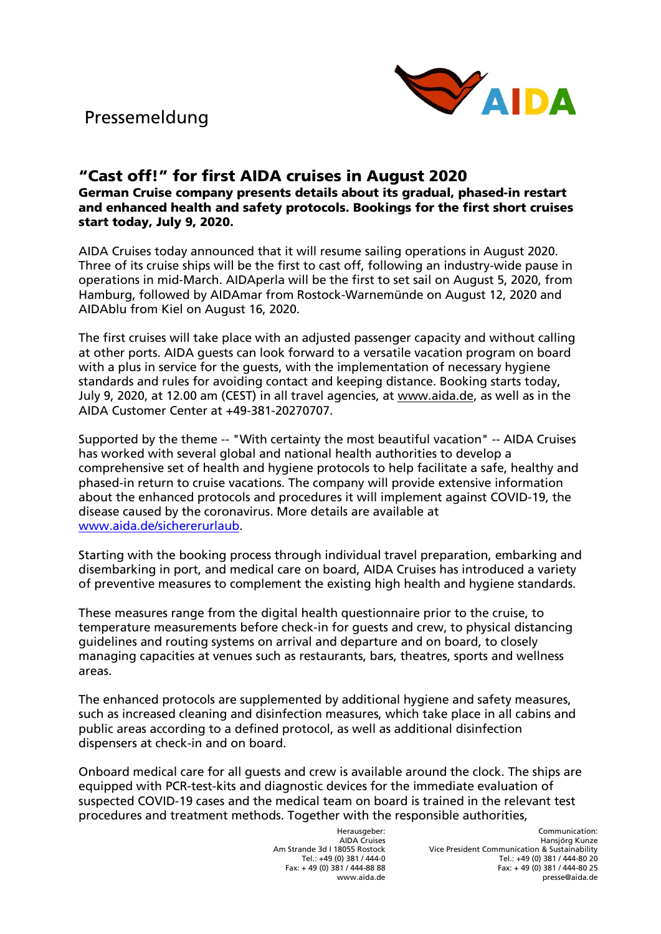

## "Cast off!" for first AIDA cruises in August 2020 German Cruise company presents details about its gradual, phased-in restart and enhanced health and safety protocols. Bookings for the first short cruises start today, July 9, 2020.

AIDA Cruises today announced that it will resume sailing operations in August 2020. Three of its cruise ships will be the first to cast off, following an industry-wide pause in operations in mid-March. AIDAperla will be the first to set sail on August 5, 2020, from Hamburg, followed by AIDAmar from Rostock-Warnemünde on August 12, 2020 and AIDAblu from Kiel on August 16, 2020.

The first cruises will take place with an adjusted passenger capacity and without calling at other ports. AIDA guests can look forward to a versatile vacation program on board with a plus in service for the guests, with the implementation of necessary hygiene standards and rules for avoiding contact and keeping distance. Booking starts today, July 9, 2020, at 12.00 am (CEST) in all travel agencies, at [www.aida.de,](http://www.aida.de/) as well as in the AIDA Customer Center at +49-381-20270707.

Supported by the theme -- "With certainty the most beautiful vacation" -- AIDA Cruises has worked with several global and national health authorities to develop a comprehensive set of health and hygiene protocols to help facilitate a safe, healthy and phased-in return to cruise vacations. The company will provide extensive information about the enhanced protocols and procedures it will implement against COVID-19, the disease caused by the coronavirus. More details are available at [www.aida.de/sichererurlaub.](http://www.aida.de/sichererurlaub)

Starting with the booking process through individual travel preparation, embarking and disembarking in port, and medical care on board, AIDA Cruises has introduced a variety of preventive measures to complement the existing high health and hygiene standards.

These measures range from the digital health questionnaire prior to the cruise, to temperature measurements before check-in for guests and crew, to physical distancing guidelines and routing systems on arrival and departure and on board, to closely managing capacities at venues such as restaurants, bars, theatres, sports and wellness areas.

The enhanced protocols are supplemented by additional hygiene and safety measures, such as increased cleaning and disinfection measures, which take place in all cabins and public areas according to a defined protocol, as well as additional disinfection dispensers at check-in and on board.

Onboard medical care for all guests and crew is available around the clock. The ships are equipped with PCR-test-kits and diagnostic devices for the immediate evaluation of suspected COVID-19 cases and the medical team on board is trained in the relevant test procedures and treatment methods. Together with the responsible authorities,

> Herausgeber: AIDA Cruises Am Strande 3d I 18055 Rostock Tel.: +49 (0) 381 / 444-0 Fax: + 49 (0) 381 / 444-88 88 www.aida.de